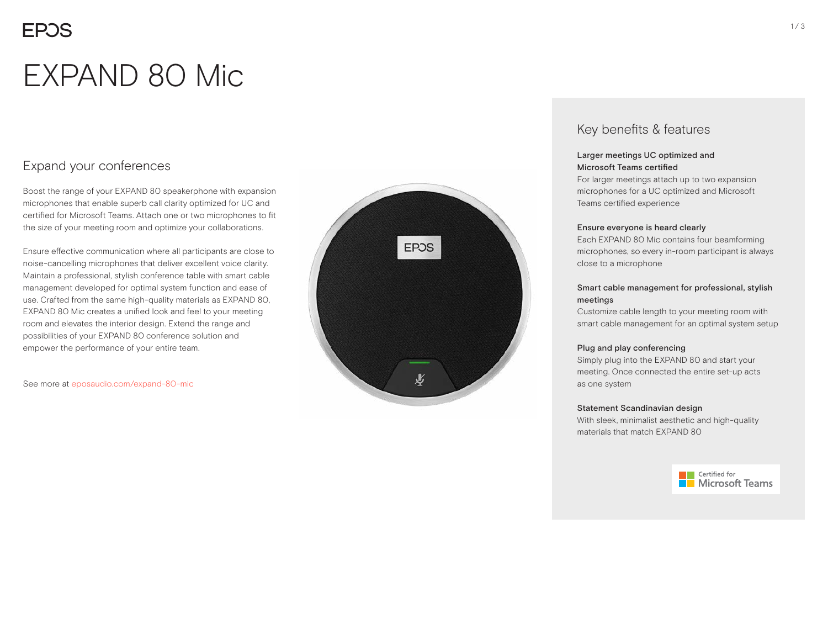## **EPOS**

# EXPAND 80 Mic

## Expand your conferences

Boost the range of your EXPAND 80 speakerphone with expansion microphones that enable superb call clarity optimized for UC and certified for Microsoft Teams. Attach one or two microphones to fit the size of your meeting room and optimize your collaborations.

Ensure effective communication where all participants are close to noise-cancelling microphones that deliver excellent voice clarity. Maintain a professional, stylish conference table with smart cable management developed for optimal system function and ease of use. Crafted from the same high-quality materials as EXPAND 80, EXPAND 80 Mic creates a unified look and feel to your meeting room and elevates the interior design. Extend the range and possibilities of your EXPAND 80 conference solution and empower the performance of your entire team.

See more at eposaudio.com/expand-80-mic



### Key benefits & features

#### Larger meetings UC optimized and Microsoft Teams certified

For larger meetings attach up to two expansion microphones for a UC optimized and Microsoft Teams certified experience

#### Ensure everyone is heard clearly

Each EXPAND 80 Mic contains four beamforming microphones, so every in-room participant is always close to a microphone

#### Smart cable management for professional, stylish meetings

Customize cable length to your meeting room with smart cable management for an optimal system setup

#### Plug and play conferencing

Simply plug into the EXPAND 80 and start your meeting. Once connected the entire set-up acts as one system

#### Statement Scandinavian design

With sleek, minimalist aesthetic and high-quality materials that match EXPAND 80

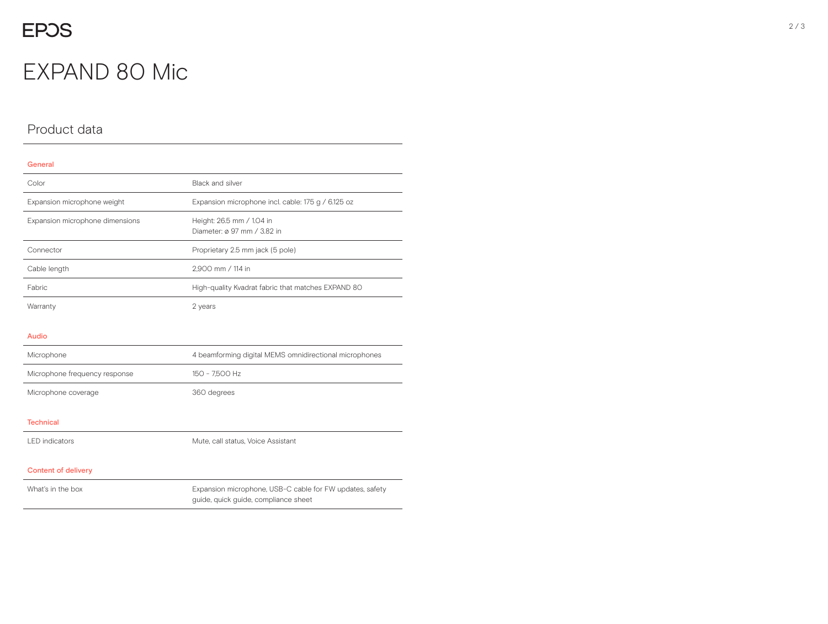## EXPAND 80 Mic

## Product data

## General Color **Black and silver** Expansion microphone weight Expansion microphone incl. cable: 175 g / 6.125 oz Expansion microphone dimensions Height: 26.5 mm / 1.04 in Diameter: ø 97 mm / 3.82 in Connector **Proprietary 2.5 mm jack (5 pole)** Cable length 2,900 mm / 114 in Fabric **Fabric EXPAND 80** High-quality Kvadrat fabric that matches EXPAND 80 Warranty 2 years 2 years Audio Microphone 4 beamforming digital MEMS omnidirectional microphones Microphone frequency response 150 - 7,500 Hz Microphone coverage 360 degrees **Technical** LED indicators Mute, call status, Voice Assistant Content of delivery What's in the box **Expansion microphone, USB-C cable for FW updates, safety** Expansion microphone, USB-C cable for FW updates, safety guide, quick guide, compliance sheet